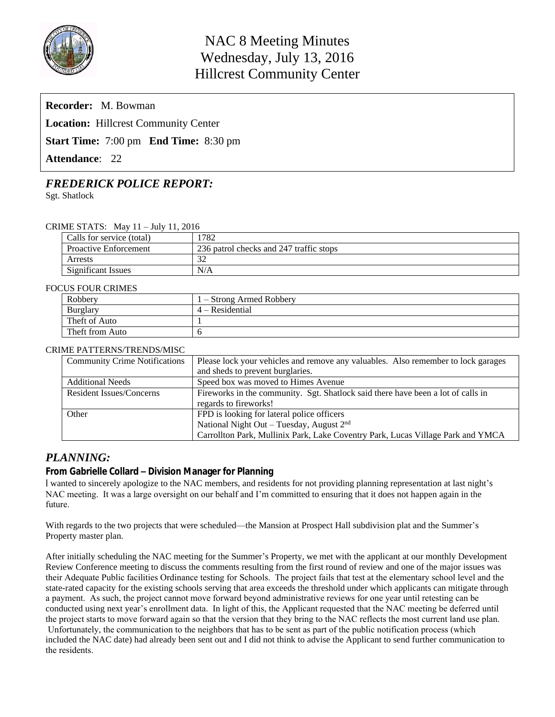

| <b>Recorder:</b> M. Bowman                          |  |  |  |  |  |  |
|-----------------------------------------------------|--|--|--|--|--|--|
| <b>Location:</b> Hillcrest Community Center         |  |  |  |  |  |  |
| <b>Start Time:</b> 7:00 pm <b>End Time:</b> 8:30 pm |  |  |  |  |  |  |
| <b>Attendance: 22</b>                               |  |  |  |  |  |  |

# *FREDERICK POLICE REPORT:*

Sgt. Shatlock

## CRIME STATS: May 11 – July 11, 2016

| Calls for service (total)    | 782                                     |
|------------------------------|-----------------------------------------|
| <b>Proactive Enforcement</b> | 236 patrol checks and 247 traffic stops |
| Arrests                      | $\sim$                                  |
| Significant Issues           | N/A                                     |

#### FOCUS FOUR CRIMES

| Robbery         | l – Strong Armed Robbery |
|-----------------|--------------------------|
| <b>Burglary</b> | 4 – Residential          |
| Theft of Auto   |                          |
| Theft from Auto |                          |

#### CRIME PATTERNS/TRENDS/MISC

| <b>Community Crime Notifications</b> | Please lock your vehicles and remove any valuables. Also remember to lock garages |  |  |
|--------------------------------------|-----------------------------------------------------------------------------------|--|--|
|                                      | and sheds to prevent burglaries.                                                  |  |  |
| <b>Additional Needs</b>              | Speed box was moved to Himes Avenue                                               |  |  |
| <b>Resident Issues/Concerns</b>      | Fireworks in the community. Sgt. Shatlock said there have been a lot of calls in  |  |  |
|                                      | regards to fireworks!                                                             |  |  |
| Other                                | FPD is looking for lateral police officers                                        |  |  |
|                                      | National Night Out - Tuesday, August 2 <sup>nd</sup>                              |  |  |
|                                      | Carrollton Park, Mullinix Park, Lake Coventry Park, Lucas Village Park and YMCA   |  |  |

## *PLANNING:*

## **From Gabrielle Collard – Division Manager for Planning**

I wanted to sincerely apologize to the NAC members, and residents for not providing planning representation at last night's NAC meeting. It was a large oversight on our behalf and I'm committed to ensuring that it does not happen again in the future.

With regards to the two projects that were scheduled—the Mansion at Prospect Hall subdivision plat and the Summer's Property master plan.

After initially scheduling the NAC meeting for the Summer's Property, we met with the applicant at our monthly Development Review Conference meeting to discuss the comments resulting from the first round of review and one of the major issues was their Adequate Public facilities Ordinance testing for Schools. The project fails that test at the elementary school level and the state-rated capacity for the existing schools serving that area exceeds the threshold under which applicants can mitigate through a payment. As such, the project cannot move forward beyond administrative reviews for one year until retesting can be conducted using next year's enrollment data. In light of this, the Applicant requested that the NAC meeting be deferred until the project starts to move forward again so that the version that they bring to the NAC reflects the most current land use plan. Unfortunately, the communication to the neighbors that has to be sent as part of the public notification process (which included the NAC date) had already been sent out and I did not think to advise the Applicant to send further communication to the residents.